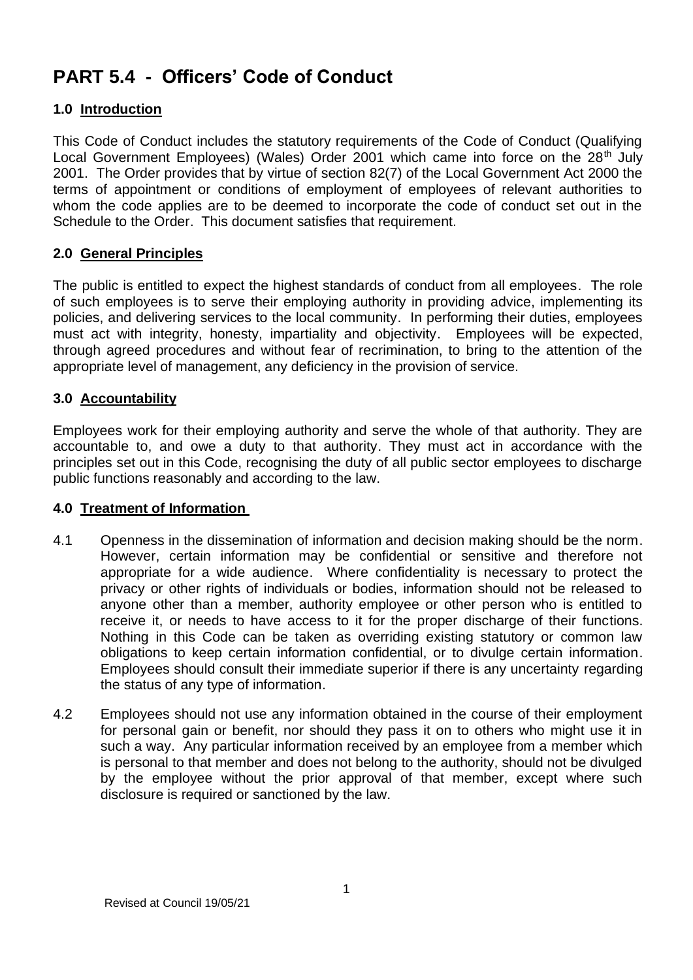# **PART 5.4 - Officers' Code of Conduct**

## **1.0 Introduction**

This Code of Conduct includes the statutory requirements of the Code of Conduct (Qualifying Local Government Employees) (Wales) Order 2001 which came into force on the 28<sup>th</sup> July 2001. The Order provides that by virtue of section 82(7) of the Local Government Act 2000 the terms of appointment or conditions of employment of employees of relevant authorities to whom the code applies are to be deemed to incorporate the code of conduct set out in the Schedule to the Order. This document satisfies that requirement.

## **2.0 General Principles**

The public is entitled to expect the highest standards of conduct from all employees. The role of such employees is to serve their employing authority in providing advice, implementing its policies, and delivering services to the local community. In performing their duties, employees must act with integrity, honesty, impartiality and objectivity. Employees will be expected, through agreed procedures and without fear of recrimination, to bring to the attention of the appropriate level of management, any deficiency in the provision of service.

## **3.0 Accountability**

Employees work for their employing authority and serve the whole of that authority. They are accountable to, and owe a duty to that authority. They must act in accordance with the principles set out in this Code, recognising the duty of all public sector employees to discharge public functions reasonably and according to the law.

#### **4.0 Treatment of Information**

- 4.1 Openness in the dissemination of information and decision making should be the norm. However, certain information may be confidential or sensitive and therefore not appropriate for a wide audience. Where confidentiality is necessary to protect the privacy or other rights of individuals or bodies, information should not be released to anyone other than a member, authority employee or other person who is entitled to receive it, or needs to have access to it for the proper discharge of their functions. Nothing in this Code can be taken as overriding existing statutory or common law obligations to keep certain information confidential, or to divulge certain information. Employees should consult their immediate superior if there is any uncertainty regarding the status of any type of information.
- 4.2 Employees should not use any information obtained in the course of their employment for personal gain or benefit, nor should they pass it on to others who might use it in such a way. Any particular information received by an employee from a member which is personal to that member and does not belong to the authority, should not be divulged by the employee without the prior approval of that member, except where such disclosure is required or sanctioned by the law.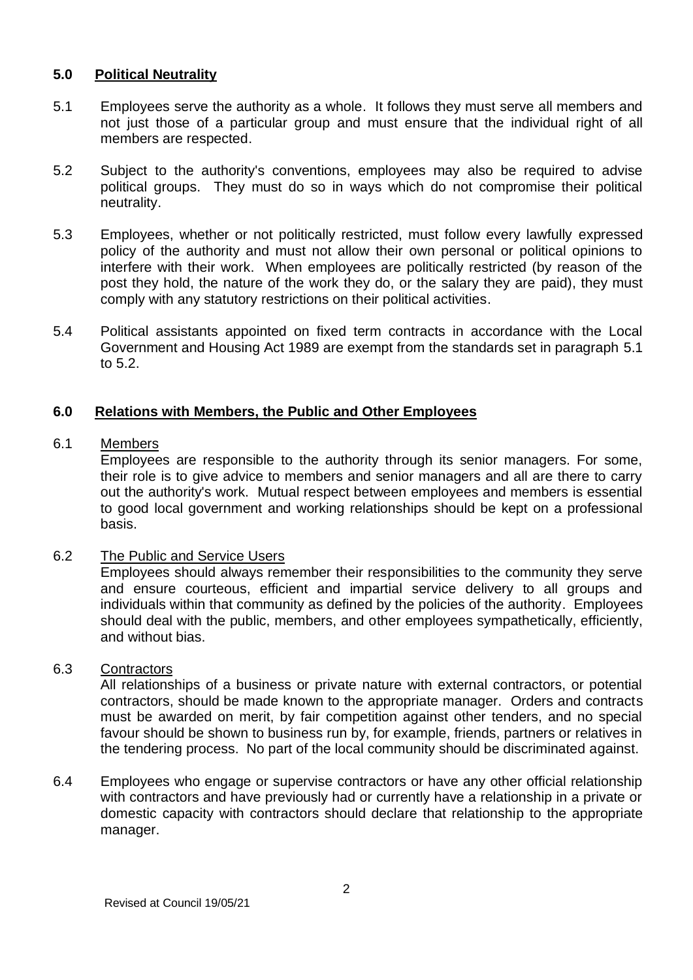#### **5.0 Political Neutrality**

- 5.1 Employees serve the authority as a whole. It follows they must serve all members and not just those of a particular group and must ensure that the individual right of all members are respected.
- 5.2 Subject to the authority's conventions, employees may also be required to advise political groups. They must do so in ways which do not compromise their political neutrality.
- 5.3 Employees, whether or not politically restricted, must follow every lawfully expressed policy of the authority and must not allow their own personal or political opinions to interfere with their work. When employees are politically restricted (by reason of the post they hold, the nature of the work they do, or the salary they are paid), they must comply with any statutory restrictions on their political activities.
- 5.4 Political assistants appointed on fixed term contracts in accordance with the Local Government and Housing Act 1989 are exempt from the standards set in paragraph 5.1 to 5.2.

## **6.0 Relations with Members, the Public and Other Employees**

#### 6.1 Members

Employees are responsible to the authority through its senior managers. For some, their role is to give advice to members and senior managers and all are there to carry out the authority's work. Mutual respect between employees and members is essential to good local government and working relationships should be kept on a professional basis.

#### 6.2 The Public and Service Users

Employees should always remember their responsibilities to the community they serve and ensure courteous, efficient and impartial service delivery to all groups and individuals within that community as defined by the policies of the authority. Employees should deal with the public, members, and other employees sympathetically, efficiently, and without bias.

#### 6.3 Contractors

All relationships of a business or private nature with external contractors, or potential contractors, should be made known to the appropriate manager. Orders and contracts must be awarded on merit, by fair competition against other tenders, and no special favour should be shown to business run by, for example, friends, partners or relatives in the tendering process. No part of the local community should be discriminated against.

6.4 Employees who engage or supervise contractors or have any other official relationship with contractors and have previously had or currently have a relationship in a private or domestic capacity with contractors should declare that relationship to the appropriate manager.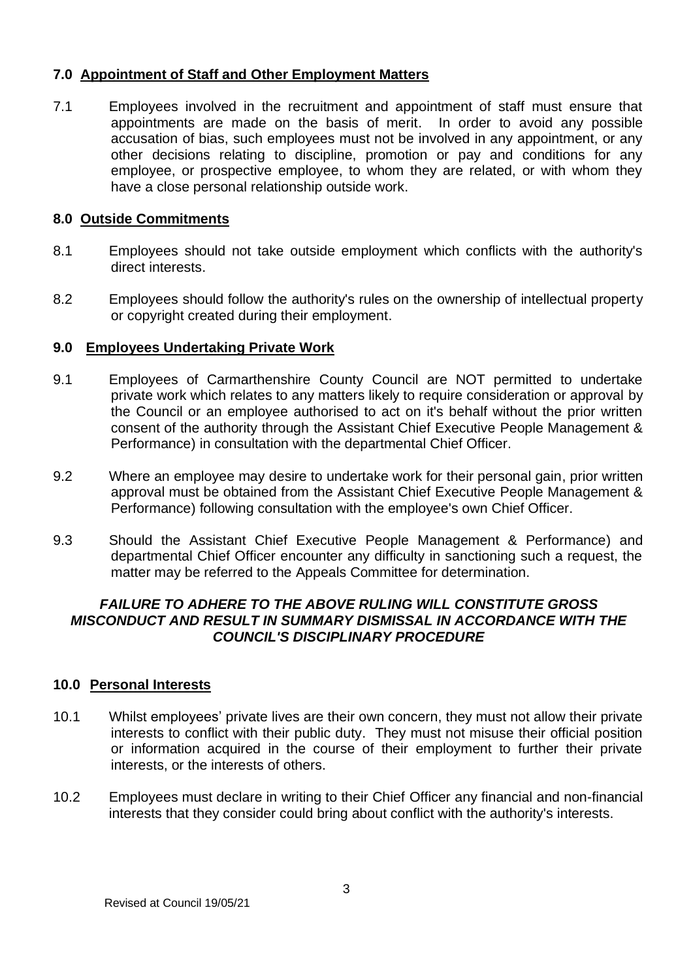## **7.0 Appointment of Staff and Other Employment Matters**

7.1 Employees involved in the recruitment and appointment of staff must ensure that appointments are made on the basis of merit. In order to avoid any possible accusation of bias, such employees must not be involved in any appointment, or any other decisions relating to discipline, promotion or pay and conditions for any employee, or prospective employee, to whom they are related, or with whom they have a close personal relationship outside work.

## **8.0 Outside Commitments**

- 8.1 Employees should not take outside employment which conflicts with the authority's direct interests.
- 8.2 Employees should follow the authority's rules on the ownership of intellectual property or copyright created during their employment.

#### **9.0 Employees Undertaking Private Work**

- 9.1 Employees of Carmarthenshire County Council are NOT permitted to undertake private work which relates to any matters likely to require consideration or approval by the Council or an employee authorised to act on it's behalf without the prior written consent of the authority through the Assistant Chief Executive People Management & Performance) in consultation with the departmental Chief Officer.
- 9.2 Where an employee may desire to undertake work for their personal gain, prior written approval must be obtained from the Assistant Chief Executive People Management & Performance) following consultation with the employee's own Chief Officer.
- 9.3 Should the Assistant Chief Executive People Management & Performance) and departmental Chief Officer encounter any difficulty in sanctioning such a request, the matter may be referred to the Appeals Committee for determination.

## *FAILURE TO ADHERE TO THE ABOVE RULING WILL CONSTITUTE GROSS MISCONDUCT AND RESULT IN SUMMARY DISMISSAL IN ACCORDANCE WITH THE COUNCIL'S DISCIPLINARY PROCEDURE*

#### **10.0 Personal Interests**

- 10.1 Whilst employees' private lives are their own concern, they must not allow their private interests to conflict with their public duty. They must not misuse their official position or information acquired in the course of their employment to further their private interests, or the interests of others.
- 10.2 Employees must declare in writing to their Chief Officer any financial and non-financial interests that they consider could bring about conflict with the authority's interests.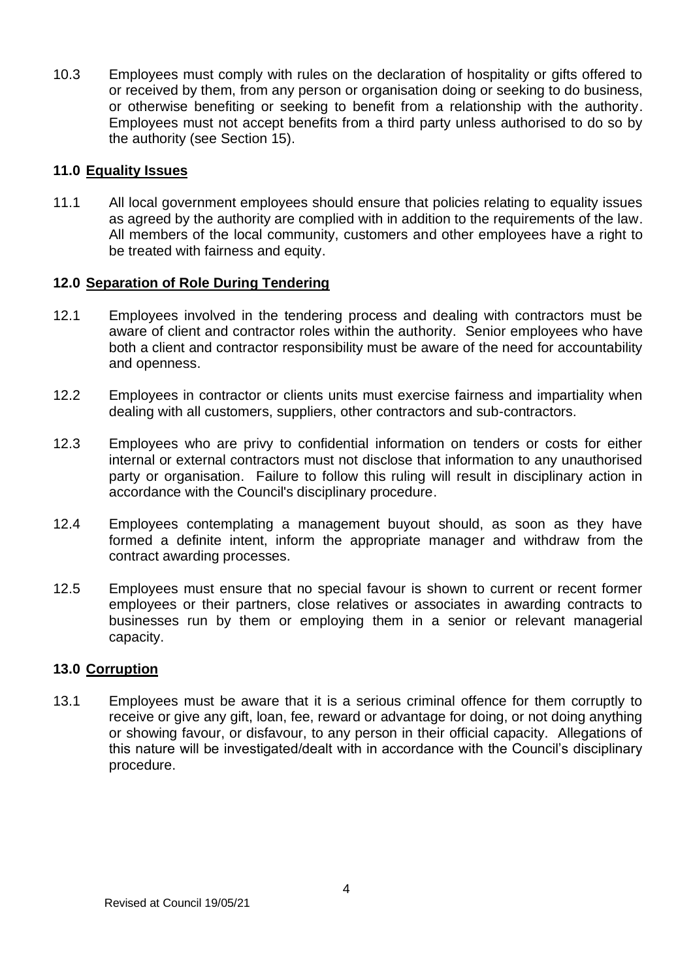10.3 Employees must comply with rules on the declaration of hospitality or gifts offered to or received by them, from any person or organisation doing or seeking to do business, or otherwise benefiting or seeking to benefit from a relationship with the authority. Employees must not accept benefits from a third party unless authorised to do so by the authority (see Section 15).

### **11.0 Equality Issues**

11.1 All local government employees should ensure that policies relating to equality issues as agreed by the authority are complied with in addition to the requirements of the law. All members of the local community, customers and other employees have a right to be treated with fairness and equity.

## **12.0 Separation of Role During Tendering**

- 12.1 Employees involved in the tendering process and dealing with contractors must be aware of client and contractor roles within the authority. Senior employees who have both a client and contractor responsibility must be aware of the need for accountability and openness.
- 12.2 Employees in contractor or clients units must exercise fairness and impartiality when dealing with all customers, suppliers, other contractors and sub-contractors.
- 12.3 Employees who are privy to confidential information on tenders or costs for either internal or external contractors must not disclose that information to any unauthorised party or organisation. Failure to follow this ruling will result in disciplinary action in accordance with the Council's disciplinary procedure.
- 12.4 Employees contemplating a management buyout should, as soon as they have formed a definite intent, inform the appropriate manager and withdraw from the contract awarding processes.
- 12.5 Employees must ensure that no special favour is shown to current or recent former employees or their partners, close relatives or associates in awarding contracts to businesses run by them or employing them in a senior or relevant managerial capacity.

### **13.0 Corruption**

13.1 Employees must be aware that it is a serious criminal offence for them corruptly to receive or give any gift, loan, fee, reward or advantage for doing, or not doing anything or showing favour, or disfavour, to any person in their official capacity. Allegations of this nature will be investigated/dealt with in accordance with the Council's disciplinary procedure.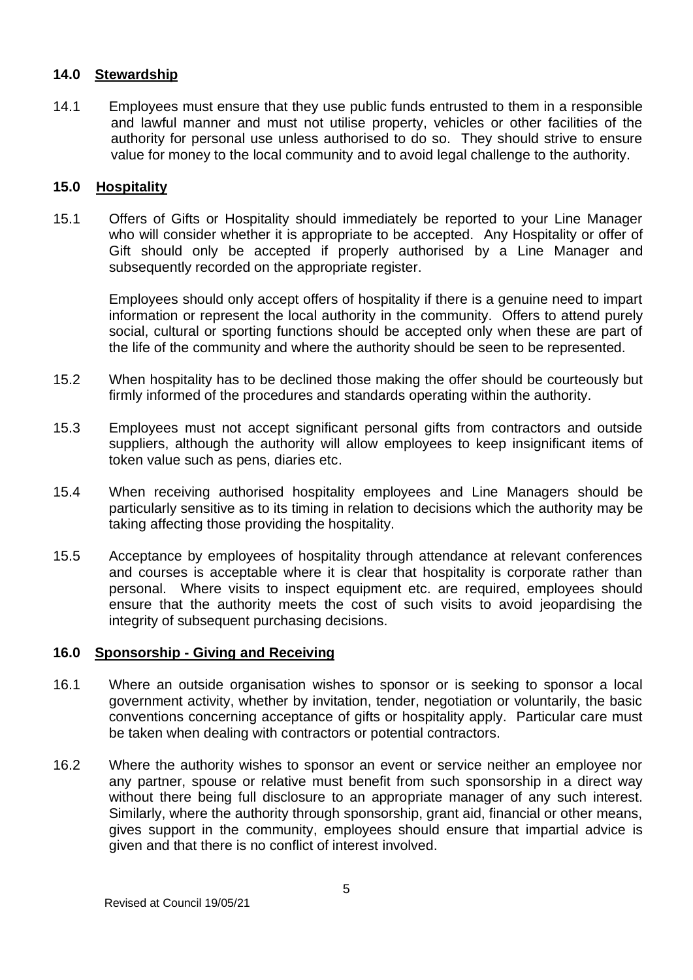## **14.0 Stewardship**

14.1 Employees must ensure that they use public funds entrusted to them in a responsible and lawful manner and must not utilise property, vehicles or other facilities of the authority for personal use unless authorised to do so. They should strive to ensure value for money to the local community and to avoid legal challenge to the authority.

#### **15.0 Hospitality**

15.1 Offers of Gifts or Hospitality should immediately be reported to your Line Manager who will consider whether it is appropriate to be accepted. Any Hospitality or offer of Gift should only be accepted if properly authorised by a Line Manager and subsequently recorded on the appropriate register.

Employees should only accept offers of hospitality if there is a genuine need to impart information or represent the local authority in the community. Offers to attend purely social, cultural or sporting functions should be accepted only when these are part of the life of the community and where the authority should be seen to be represented.

- 15.2 When hospitality has to be declined those making the offer should be courteously but firmly informed of the procedures and standards operating within the authority.
- 15.3 Employees must not accept significant personal gifts from contractors and outside suppliers, although the authority will allow employees to keep insignificant items of token value such as pens, diaries etc.
- 15.4 When receiving authorised hospitality employees and Line Managers should be particularly sensitive as to its timing in relation to decisions which the authority may be taking affecting those providing the hospitality.
- 15.5 Acceptance by employees of hospitality through attendance at relevant conferences and courses is acceptable where it is clear that hospitality is corporate rather than personal. Where visits to inspect equipment etc. are required, employees should ensure that the authority meets the cost of such visits to avoid jeopardising the integrity of subsequent purchasing decisions.

#### **16.0 Sponsorship - Giving and Receiving**

- 16.1 Where an outside organisation wishes to sponsor or is seeking to sponsor a local government activity, whether by invitation, tender, negotiation or voluntarily, the basic conventions concerning acceptance of gifts or hospitality apply. Particular care must be taken when dealing with contractors or potential contractors.
- 16.2 Where the authority wishes to sponsor an event or service neither an employee nor any partner, spouse or relative must benefit from such sponsorship in a direct way without there being full disclosure to an appropriate manager of any such interest. Similarly, where the authority through sponsorship, grant aid, financial or other means, gives support in the community, employees should ensure that impartial advice is given and that there is no conflict of interest involved.